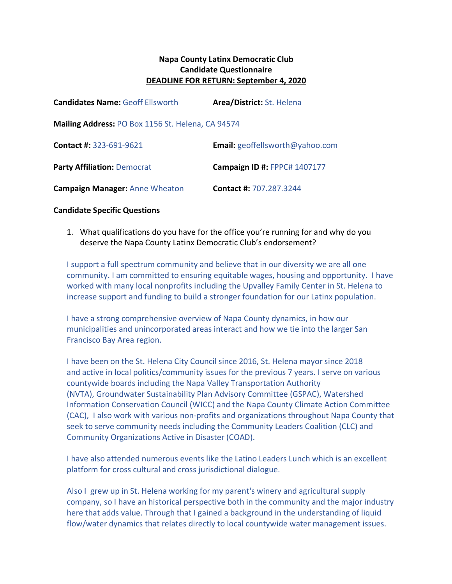# **Napa County Latinx Democratic Club Candidate Questionnaire DEADLINE FOR RETURN: September 4, 2020**

| <b>Candidates Name: Geoff Ellsworth</b>           | Area/District: St. Helena              |
|---------------------------------------------------|----------------------------------------|
| Mailing Address: PO Box 1156 St. Helena, CA 94574 |                                        |
| Contact #: 323-691-9621                           | <b>Email:</b> geoffellsworth@yahoo.com |
| <b>Party Affiliation: Democrat</b>                | <b>Campaign ID #: FPPC# 1407177</b>    |
| <b>Campaign Manager: Anne Wheaton</b>             | <b>Contact #: 707.287.3244</b>         |

### **Candidate Specific Questions**

1. What qualifications do you have for the office you're running for and why do you deserve the Napa County Latinx Democratic Club's endorsement?

I support a full spectrum community and believe that in our diversity we are all one community. I am committed to ensuring equitable wages, housing and opportunity. I have worked with many local nonprofits including the Upvalley Family Center in St. Helena to increase support and funding to build a stronger foundation for our Latinx population.

I have a strong comprehensive overview of Napa County dynamics, in how our municipalities and unincorporated areas interact and how we tie into the larger San Francisco Bay Area region.

I have been on the St. Helena City Council since 2016, St. Helena mayor since 2018 and active in local politics/community issues for the previous 7 years. I serve on various countywide boards including the Napa Valley Transportation Authority (NVTA), Groundwater Sustainability Plan Advisory Committee (GSPAC), Watershed Information Conservation Council (WICC) and the Napa County Climate Action Committee (CAC), I also work with various non-profits and organizations throughout Napa County that seek to serve community needs including the Community Leaders Coalition (CLC) and Community Organizations Active in Disaster (COAD).

I have also attended numerous events like the Latino Leaders Lunch which is an excellent platform for cross cultural and cross jurisdictional dialogue.

Also I grew up in St. Helena working for my parent's winery and agricultural supply company, so I have an historical perspective both in the community and the major industry here that adds value. Through that I gained a background in the understanding of liquid flow/water dynamics that relates directly to local countywide water management issues.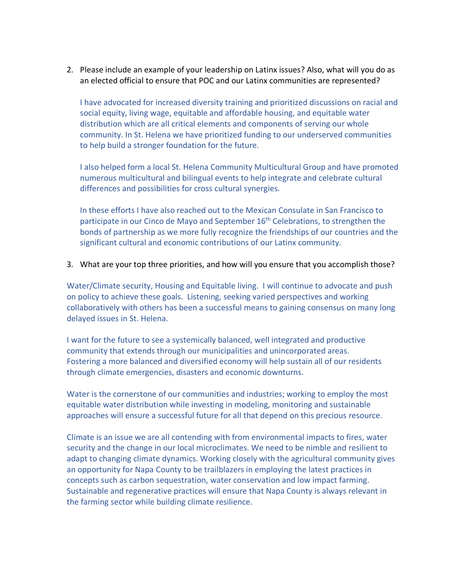2. Please include an example of your leadership on Latinx issues? Also, what will you do as an elected official to ensure that POC and our Latinx communities are represented?

I have advocated for increased diversity training and prioritized discussions on racial and social equity, living wage, equitable and affordable housing, and equitable water distribution which are all critical elements and components of serving our whole community. In St. Helena we have prioritized funding to our underserved communities to help build a stronger foundation for the future.

I also helped form a local St. Helena Community Multicultural Group and have promoted numerous multicultural and bilingual events to help integrate and celebrate cultural differences and possibilities for cross cultural synergies.

In these efforts I have also reached out to the Mexican Consulate in San Francisco to participate in our Cinco de Mayo and September 16<sup>th</sup> Celebrations, to strengthen the bonds of partnership as we more fully recognize the friendships of our countries and the significant cultural and economic contributions of our Latinx community.

### 3. What are your top three priorities, and how will you ensure that you accomplish those?

Water/Climate security, Housing and Equitable living. I will continue to advocate and push on policy to achieve these goals. Listening, seeking varied perspectives and working collaboratively with others has been a successful means to gaining consensus on many long delayed issues in St. Helena.

I want for the future to see a systemically balanced, well integrated and productive community that extends through our municipalities and unincorporated areas. Fostering a more balanced and diversified economy will help sustain all of our residents through climate emergencies, disasters and economic downturns.

Water is the cornerstone of our communities and industries; working to employ the most equitable water distribution while investing in modeling, monitoring and sustainable approaches will ensure a successful future for all that depend on this precious resource.

Climate is an issue we are all contending with from environmental impacts to fires, water security and the change in our local microclimates. We need to be nimble and resilient to adapt to changing climate dynamics. Working closely with the agricultural community gives an opportunity for Napa County to be trailblazers in employing the latest practices in concepts such as carbon sequestration, water conservation and low impact farming. Sustainable and regenerative practices will ensure that Napa County is always relevant in the farming sector while building climate resilience.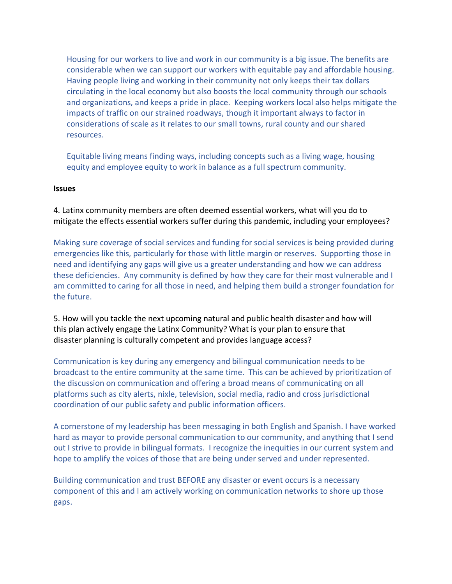Housing for our workers to live and work in our community is a big issue. The benefits are considerable when we can support our workers with equitable pay and affordable housing. Having people living and working in their community not only keeps their tax dollars circulating in the local economy but also boosts the local community through our schools and organizations, and keeps a pride in place. Keeping workers local also helps mitigate the impacts of traffic on our strained roadways, though it important always to factor in considerations of scale as it relates to our small towns, rural county and our shared resources.

Equitable living means finding ways, including concepts such as a living wage, housing equity and employee equity to work in balance as a full spectrum community.

#### **Issues**

4. Latinx community members are often deemed essential workers, what will you do to mitigate the effects essential workers suffer during this pandemic, including your employees?

Making sure coverage of social services and funding for social services is being provided during emergencies like this, particularly for those with little margin or reserves. Supporting those in need and identifying any gaps will give us a greater understanding and how we can address these deficiencies. Any community is defined by how they care for their most vulnerable and I am committed to caring for all those in need, and helping them build a stronger foundation for the future.

5. How will you tackle the next upcoming natural and public health disaster and how will this plan actively engage the Latinx Community? What is your plan to ensure that disaster planning is culturally competent and provides language access?

Communication is key during any emergency and bilingual communication needs to be broadcast to the entire community at the same time. This can be achieved by prioritization of the discussion on communication and offering a broad means of communicating on all platforms such as city alerts, nixle, television, social media, radio and cross jurisdictional coordination of our public safety and public information officers.

A cornerstone of my leadership has been messaging in both English and Spanish. I have worked hard as mayor to provide personal communication to our community, and anything that I send out I strive to provide in bilingual formats. I recognize the inequities in our current system and hope to amplify the voices of those that are being under served and under represented.

Building communication and trust BEFORE any disaster or event occurs is a necessary component of this and I am actively working on communication networks to shore up those gaps.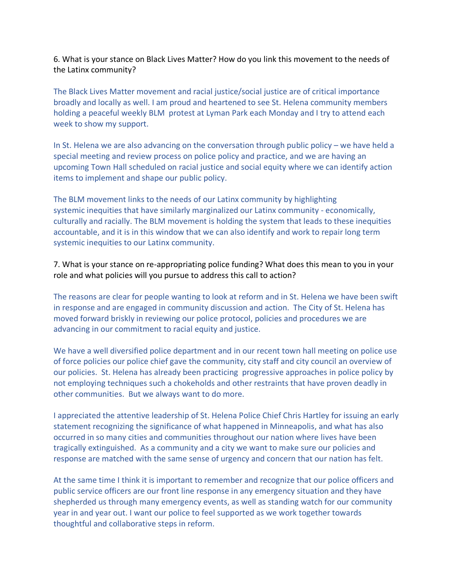6. What is your stance on Black Lives Matter? How do you link this movement to the needs of the Latinx community?

The Black Lives Matter movement and racial justice/social justice are of critical importance broadly and locally as well. I am proud and heartened to see St. Helena community members holding a peaceful weekly BLM protest at Lyman Park each Monday and I try to attend each week to show my support.

In St. Helena we are also advancing on the conversation through public policy – we have held a special meeting and review process on police policy and practice, and we are having an upcoming Town Hall scheduled on racial justice and social equity where we can identify action items to implement and shape our public policy.

The BLM movement links to the needs of our Latinx community by highlighting systemic inequities that have similarly marginalized our Latinx community - economically, culturally and racially. The BLM movement is holding the system that leads to these inequities accountable, and it is in this window that we can also identify and work to repair long term systemic inequities to our Latinx community.

7. What is your stance on re-appropriating police funding? What does this mean to you in your role and what policies will you pursue to address this call to action?

The reasons are clear for people wanting to look at reform and in St. Helena we have been swift in response and are engaged in community discussion and action. The City of St. Helena has moved forward briskly in reviewing our police protocol, policies and procedures we are advancing in our commitment to racial equity and justice.

We have a well diversified police department and in our recent town hall meeting on police use of force policies our police chief gave the community, city staff and city council an overview of our policies. St. Helena has already been practicing progressive approaches in police policy by not employing techniques such a chokeholds and other restraints that have proven deadly in other communities. But we always want to do more.

I appreciated the attentive leadership of St. Helena Police Chief Chris Hartley for issuing an early statement recognizing the significance of what happened in Minneapolis, and what has also occurred in so many cities and communities throughout our nation where lives have been tragically extinguished. As a community and a city we want to make sure our policies and response are matched with the same sense of urgency and concern that our nation has felt.

At the same time I think it is important to remember and recognize that our police officers and public service officers are our front line response in any emergency situation and they have shepherded us through many emergency events, as well as standing watch for our community year in and year out. I want our police to feel supported as we work together towards thoughtful and collaborative steps in reform.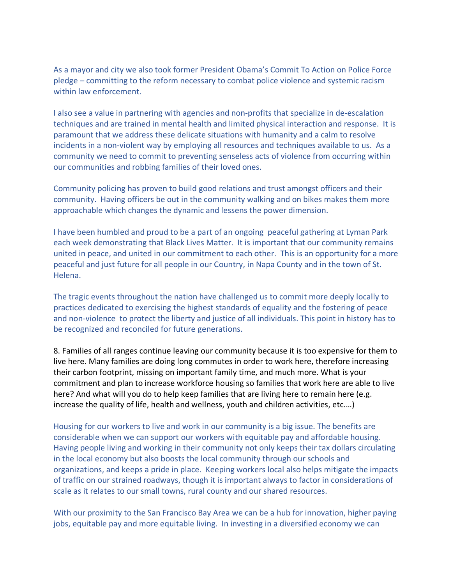As a mayor and city we also took former President Obama's Commit To Action on Police Force pledge – committing to the reform necessary to combat police violence and systemic racism within law enforcement.

I also see a value in partnering with agencies and non-profits that specialize in de-escalation techniques and are trained in mental health and limited physical interaction and response. It is paramount that we address these delicate situations with humanity and a calm to resolve incidents in a non-violent way by employing all resources and techniques available to us. As a community we need to commit to preventing senseless acts of violence from occurring within our communities and robbing families of their loved ones.

Community policing has proven to build good relations and trust amongst officers and their community. Having officers be out in the community walking and on bikes makes them more approachable which changes the dynamic and lessens the power dimension.

I have been humbled and proud to be a part of an ongoing peaceful gathering at Lyman Park each week demonstrating that Black Lives Matter. It is important that our community remains united in peace, and united in our commitment to each other. This is an opportunity for a more peaceful and just future for all people in our Country, in Napa County and in the town of St. Helena.

The tragic events throughout the nation have challenged us to commit more deeply locally to practices dedicated to exercising the highest standards of equality and the fostering of peace and non-violence to protect the liberty and justice of all individuals. This point in history has to be recognized and reconciled for future generations.

8. Families of all ranges continue leaving our community because it is too expensive for them to live here. Many families are doing long commutes in order to work here, therefore increasing their carbon footprint, missing on important family time, and much more. What is your commitment and plan to increase workforce housing so families that work here are able to live here? And what will you do to help keep families that are living here to remain here (e.g. increase the quality of life, health and wellness, youth and children activities, etc.…)

Housing for our workers to live and work in our community is a big issue. The benefits are considerable when we can support our workers with equitable pay and affordable housing. Having people living and working in their community not only keeps their tax dollars circulating in the local economy but also boosts the local community through our schools and organizations, and keeps a pride in place. Keeping workers local also helps mitigate the impacts of traffic on our strained roadways, though it is important always to factor in considerations of scale as it relates to our small towns, rural county and our shared resources.

With our proximity to the San Francisco Bay Area we can be a hub for innovation, higher paying jobs, equitable pay and more equitable living. In investing in a diversified economy we can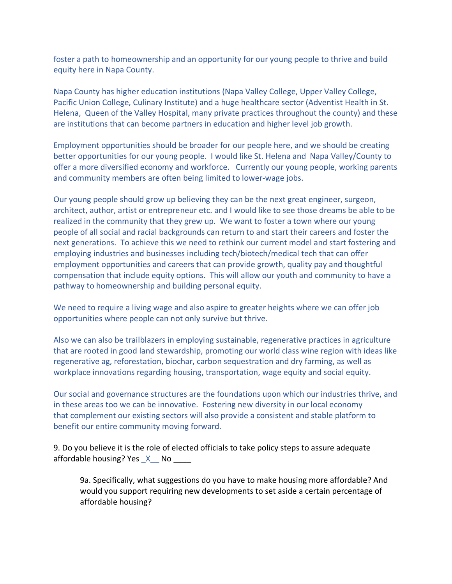foster a path to homeownership and an opportunity for our young people to thrive and build equity here in Napa County.

Napa County has higher education institutions (Napa Valley College, Upper Valley College, Pacific Union College, Culinary Institute) and a huge healthcare sector (Adventist Health in St. Helena, Queen of the Valley Hospital, many private practices throughout the county) and these are institutions that can become partners in education and higher level job growth.

Employment opportunities should be broader for our people here, and we should be creating better opportunities for our young people. I would like St. Helena and Napa Valley/County to offer a more diversified economy and workforce. Currently our young people, working parents and community members are often being limited to lower-wage jobs.

Our young people should grow up believing they can be the next great engineer, surgeon, architect, author, artist or entrepreneur etc. and I would like to see those dreams be able to be realized in the community that they grew up. We want to foster a town where our young people of all social and racial backgrounds can return to and start their careers and foster the next generations. To achieve this we need to rethink our current model and start fostering and employing industries and businesses including tech/biotech/medical tech that can offer employment opportunities and careers that can provide growth, quality pay and thoughtful compensation that include equity options. This will allow our youth and community to have a pathway to homeownership and building personal equity.

We need to require a living wage and also aspire to greater heights where we can offer job opportunities where people can not only survive but thrive.

Also we can also be trailblazers in employing sustainable, regenerative practices in agriculture that are rooted in good land stewardship, promoting our world class wine region with ideas like regenerative ag, reforestation, biochar, carbon sequestration and dry farming, as well as workplace innovations regarding housing, transportation, wage equity and social equity.

Our social and governance structures are the foundations upon which our industries thrive, and in these areas too we can be innovative. Fostering new diversity in our local economy that complement our existing sectors will also provide a consistent and stable platform to benefit our entire community moving forward.

9. Do you believe it is the role of elected officials to take policy steps to assure adequate affordable housing? Yes X No

9a. Specifically, what suggestions do you have to make housing more affordable? And would you support requiring new developments to set aside a certain percentage of affordable housing?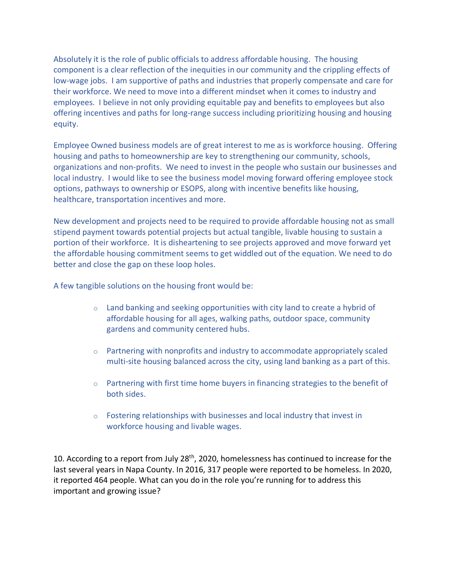Absolutely it is the role of public officials to address affordable housing. The housing component is a clear reflection of the inequities in our community and the crippling effects of low-wage jobs. I am supportive of paths and industries that properly compensate and care for their workforce. We need to move into a different mindset when it comes to industry and employees. I believe in not only providing equitable pay and benefits to employees but also offering incentives and paths for long-range success including prioritizing housing and housing equity.

Employee Owned business models are of great interest to me as is workforce housing. Offering housing and paths to homeownership are key to strengthening our community, schools, organizations and non-profits. We need to invest in the people who sustain our businesses and local industry. I would like to see the business model moving forward offering employee stock options, pathways to ownership or ESOPS, along with incentive benefits like housing, healthcare, transportation incentives and more.

New development and projects need to be required to provide affordable housing not as small stipend payment towards potential projects but actual tangible, livable housing to sustain a portion of their workforce. It is disheartening to see projects approved and move forward yet the affordable housing commitment seems to get widdled out of the equation. We need to do better and close the gap on these loop holes.

A few tangible solutions on the housing front would be:

- $\circ$  Land banking and seeking opportunities with city land to create a hybrid of affordable housing for all ages, walking paths, outdoor space, community gardens and community centered hubs.
- $\circ$  Partnering with nonprofits and industry to accommodate appropriately scaled multi-site housing balanced across the city, using land banking as a part of this.
- $\circ$  Partnering with first time home buyers in financing strategies to the benefit of both sides.
- o Fostering relationships with businesses and local industry that invest in workforce housing and livable wages.

10. According to a report from July 28<sup>th</sup>, 2020, homelessness has continued to increase for the last several years in Napa County. In 2016, 317 people were reported to be homeless. In 2020, it reported 464 people. What can you do in the role you're running for to address this important and growing issue?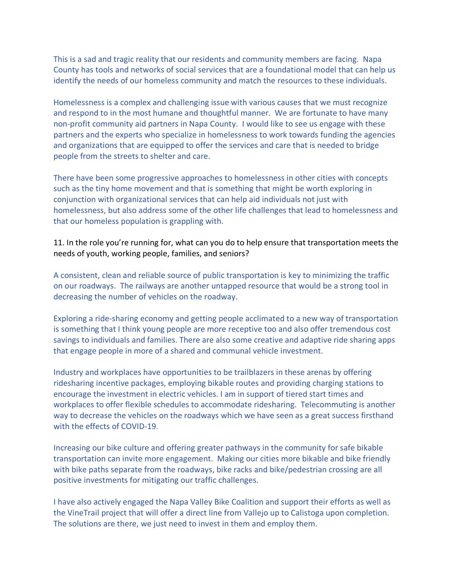This is a sad and tragic reality that our residents and community members are facing. Napa County has tools and networks of social services that are a foundational model that can help us identify the needs of our homeless community and match the resources to these individuals.

Homelessness is a complex and challenging issue with various causes that we must recognize and respond to in the most humane and thoughtful manner. We are fortunate to have many non-profit community aid partners in Napa County. I would like to see us engage with these partners and the experts who specialize in homelessness to work towards funding the agencies and organizations that are equipped to offer the services and care that is needed to bridge people from the streets to shelter and care.

There have been some progressive approaches to homelessness in other cities with concepts such as the tiny home movement and that is something that might be worth exploring in conjunction with organizational services that can help aid individuals not just with homelessness, but also address some of the other life challenges that lead to homelessness and that our homeless population is grappling with.

# 11. In the role you're running for, what can you do to help ensure that transportation meets the needs of youth, working people, families, and seniors?

A consistent, clean and reliable source of public transportation is key to minimizing the traffic on our roadways. The railways are another untapped resource that would be a strong tool in decreasing the number of vehicles on the roadway.

Exploring a ride-sharing economy and getting people acclimated to a new way of transportation is something that I think young people are more receptive too and also offer tremendous cost savings to individuals and families. There are also some creative and adaptive ride sharing apps that engage people in more of a shared and communal vehicle investment.

Industry and workplaces have opportunities to be trailblazers in these arenas by offering ridesharing incentive packages, employing bikable routes and providing charging stations to encourage the investment in electric vehicles. I am in support of tiered start times and workplaces to offer flexible schedules to accommodate ridesharing. Telecommuting is another way to decrease the vehicles on the roadways which we have seen as a great success firsthand with the effects of COVID-19.

Increasing our bike culture and offering greater pathways in the community for safe bikable transportation can invite more engagement. Making our cities more bikable and bike friendly with bike paths separate from the roadways, bike racks and bike/pedestrian crossing are all positive investments for mitigating our traffic challenges.

I have also actively engaged the Napa Valley Bike Coalition and support their efforts as well as the VineTrail project that will offer a direct line from Vallejo up to Calistoga upon completion. The solutions are there, we just need to invest in them and employ them.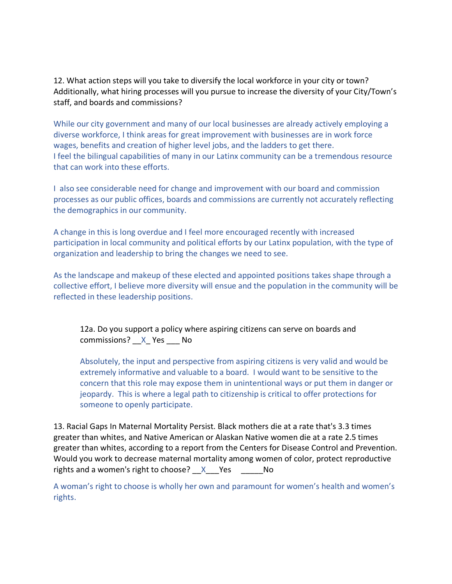12. What action steps will you take to diversify the local workforce in your city or town? Additionally, what hiring processes will you pursue to increase the diversity of your City/Town's staff, and boards and commissions?

While our city government and many of our local businesses are already actively employing a diverse workforce, I think areas for great improvement with businesses are in work force wages, benefits and creation of higher level jobs, and the ladders to get there. I feel the bilingual capabilities of many in our Latinx community can be a tremendous resource that can work into these efforts.

I also see considerable need for change and improvement with our board and commission processes as our public offices, boards and commissions are currently not accurately reflecting the demographics in our community.

A change in this is long overdue and I feel more encouraged recently with increased participation in local community and political efforts by our Latinx population, with the type of organization and leadership to bring the changes we need to see.

As the landscape and makeup of these elected and appointed positions takes shape through a collective effort, I believe more diversity will ensue and the population in the community will be reflected in these leadership positions.

12a. Do you support a policy where aspiring citizens can serve on boards and commissions? X Yes No

Absolutely, the input and perspective from aspiring citizens is very valid and would be extremely informative and valuable to a board. I would want to be sensitive to the concern that this role may expose them in unintentional ways or put them in danger or jeopardy. This is where a legal path to citizenship is critical to offer protections for someone to openly participate.

13. Racial Gaps In Maternal Mortality Persist. Black mothers die at a rate that's 3.3 times greater than whites, and Native American or Alaskan Native women die at a rate 2.5 times greater than whites, according to a report from the Centers for Disease Control and Prevention. Would you work to decrease maternal mortality among women of color, protect reproductive rights and a women's right to choose?  $X$  Yes No

A woman's right to choose is wholly her own and paramount for women's health and women's rights.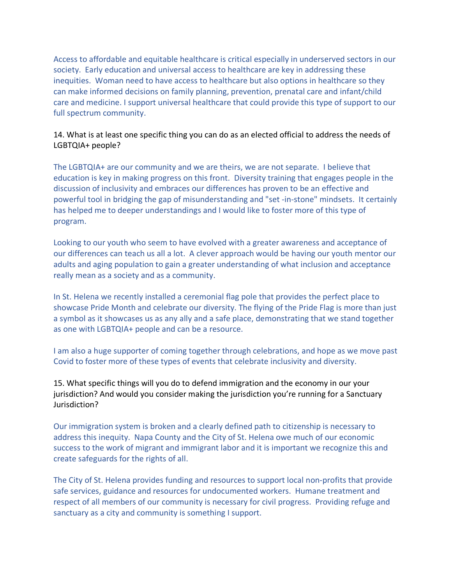Access to affordable and equitable healthcare is critical especially in underserved sectors in our society. Early education and universal access to healthcare are key in addressing these inequities. Woman need to have access to healthcare but also options in healthcare so they can make informed decisions on family planning, prevention, prenatal care and infant/child care and medicine. I support universal healthcare that could provide this type of support to our full spectrum community.

## 14. What is at least one specific thing you can do as an elected official to address the needs of LGBTQIA+ people?

The LGBTQIA+ are our community and we are theirs, we are not separate. I believe that education is key in making progress on this front. Diversity training that engages people in the discussion of inclusivity and embraces our differences has proven to be an effective and powerful tool in bridging the gap of misunderstanding and "set -in-stone" mindsets. It certainly has helped me to deeper understandings and I would like to foster more of this type of program.

Looking to our youth who seem to have evolved with a greater awareness and acceptance of our differences can teach us all a lot. A clever approach would be having our youth mentor our adults and aging population to gain a greater understanding of what inclusion and acceptance really mean as a society and as a community.

In St. Helena we recently installed a ceremonial flag pole that provides the perfect place to showcase Pride Month and celebrate our diversity. The flying of the Pride Flag is more than just a symbol as it showcases us as any ally and a safe place, demonstrating that we stand together as one with LGBTQIA+ people and can be a resource.

I am also a huge supporter of coming together through celebrations, and hope as we move past Covid to foster more of these types of events that celebrate inclusivity and diversity.

15. What specific things will you do to defend immigration and the economy in our your jurisdiction? And would you consider making the jurisdiction you're running for a Sanctuary Jurisdiction?

Our immigration system is broken and a clearly defined path to citizenship is necessary to address this inequity. Napa County and the City of St. Helena owe much of our economic success to the work of migrant and immigrant labor and it is important we recognize this and create safeguards for the rights of all.

The City of St. Helena provides funding and resources to support local non-profits that provide safe services, guidance and resources for undocumented workers. Humane treatment and respect of all members of our community is necessary for civil progress. Providing refuge and sanctuary as a city and community is something I support.